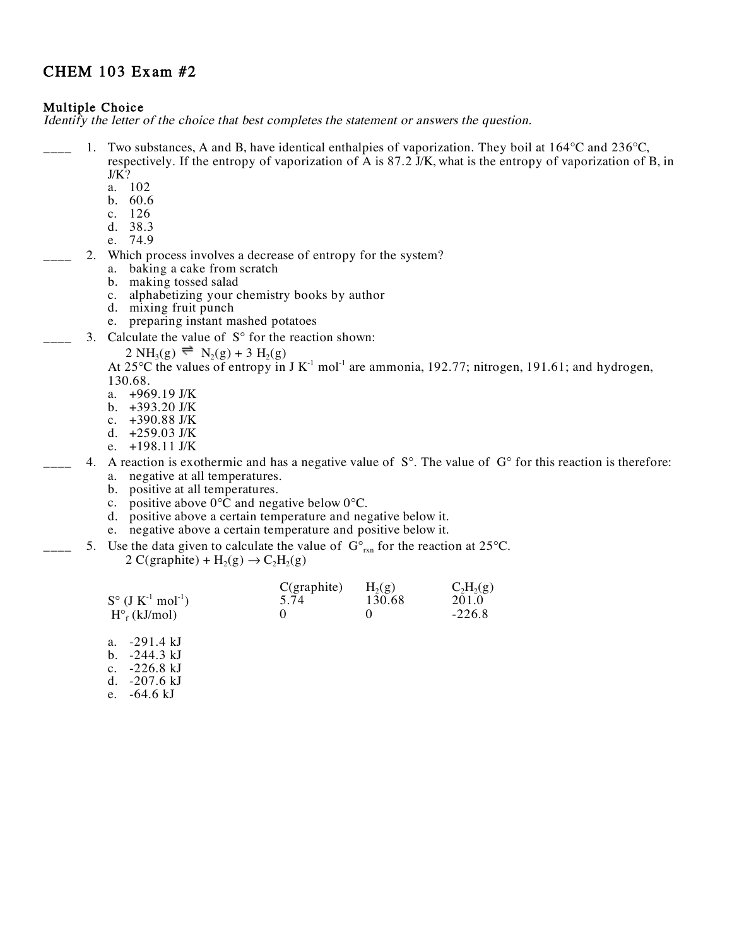# CHEM 103 Exam #2

## **Multiple Choice**

Identify the letter of the choice that best completes the statement or answers the question.

- 1. Two substances, A and B, have identical enthalpies of vaporization. They boil at 164 C and 236 C, respectively. If the entropy of vaporization of A is 87.2 J/K, what is the entropy of vaporization of B, in  $J/K$ ?
	- a. 102
	- b. 60.6
	- c. 126
	- d. 38.3
	- e. 74.9
- 2. Which process involves a decrease of entropy for the system?
	- a. baking a cake from scratch
	- b. making tossed salad
	- c. alphabetizing your chemistry books by author
	- d. mixing fruit punch
	- e. preparing instant mashed potatoes
- 3. Calculate the value of S for the reaction shown:

2 NH<sub>3</sub>(g) 
$$
\equiv
$$
 N<sub>2</sub>(g) + 3 H<sub>2</sub>(g)

At 25 C the values of entropy in J  $K^{-1}$  mol<sup>-1</sup> are ammonia, 192.77; nitrogen, 191.61; and hydrogen, 130.68.

- a. +969.19 J/K
- b. +393.20 J/K
- c. +390.88 J/K
- d. +259.03 J/K
- e. +198.11 J/K
- 4. A reaction is exothermic and has a negative value of S. The value of G for this reaction is therefore: a. negative at all temperatures.
	- b. positive at all temperatures.
	- c. positive above  $0 \text{ }\hat{C}$  and negative below  $0 \text{ }\hat{C}$ .
	- d. positive above a certain temperature and negative below it.
	- e. negative above a certain temperature and positive below it.
	- 5. Use the data given to calculate the value of G  $_{rxn}$  for the reaction at 25 C. 2 C(graphite) + H<sub>2</sub>(g)  $\rightarrow$  C<sub>2</sub>H<sub>2</sub>(g)

|                         | $C$ (graphite) | $H_2(g)$ | $C_2H_2(g)$ |
|-------------------------|----------------|----------|-------------|
| S $(J K^{-1} mol^{-1})$ | 5.74           | 130.68   | 201.0       |
| $H_f(kJ/mol)$           |                |          | $-226.8$    |

- a. -291.4 kJ
- b. -244.3 kJ
- c. -226.8 kJ
- d. -207.6 kJ
- e. -64.6 kJ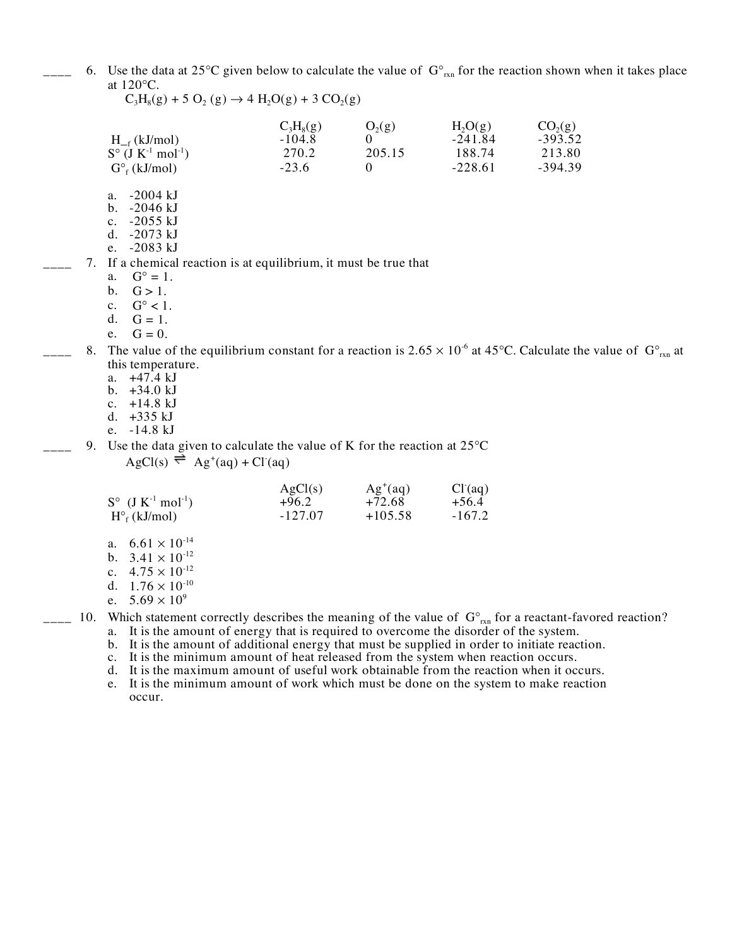6. Use the data at 25 C given below to calculate the value of G  $_{\text{rxn}}$  for the reaction shown when it takes place at 120 C.

 $C_3H_8(g)$   $O_2(g)$   $H_2O(g)$   $CO_2(g)$ 

 $C_3H_8(g) + 5 O_2(g) \rightarrow 4 H_2O(g) + 3 CO_2(g)$ 

|  | $H_{-f}$ (kJ/mol)                                                                                                                     | J UNLJ/<br>$-104.8$ | $\sim$<br>$\Omega$ | $-241.84$ | $-393.52$ |
|--|---------------------------------------------------------------------------------------------------------------------------------------|---------------------|--------------------|-----------|-----------|
|  | S $(J K^{-1} mol^{-1})$                                                                                                               | 270.2               | 205.15             | 188.74    | 213.80    |
|  | $G_f(kJ/mol)$                                                                                                                         | $-23.6$             | $\Omega$           | $-228.61$ | $-394.39$ |
|  | a. $-2004 \text{ kJ}$                                                                                                                 |                     |                    |           |           |
|  | -2046 kJ<br>$\mathbf{b}$ .                                                                                                            |                     |                    |           |           |
|  | -2055 kJ<br>$c_{\cdot}$                                                                                                               |                     |                    |           |           |
|  | $-2073 \text{ kJ}$<br>d.                                                                                                              |                     |                    |           |           |
|  | e. -2083 kJ                                                                                                                           |                     |                    |           |           |
|  | 7. If a chemical reaction is at equilibrium, it must be true that                                                                     |                     |                    |           |           |
|  | a. $G = 1$ .                                                                                                                          |                     |                    |           |           |
|  | b.<br>$G > 1$ .                                                                                                                       |                     |                    |           |           |
|  | c. $G < 1$ .                                                                                                                          |                     |                    |           |           |
|  | d. $G = 1$ .                                                                                                                          |                     |                    |           |           |
|  | e. $G = 0$ .                                                                                                                          |                     |                    |           |           |
|  | 8. The value of the equilibrium constant for a reaction is $2.65 \times 10^{-6}$ at 45 C. Calculate the value of G $_{\text{rxn}}$ at |                     |                    |           |           |
|  | this temperature.                                                                                                                     |                     |                    |           |           |
|  | a. $+47.4 \text{ kJ}$                                                                                                                 |                     |                    |           |           |
|  | b. $+34.0 \text{ kJ}$                                                                                                                 |                     |                    |           |           |
|  |                                                                                                                                       |                     |                    |           |           |

- 
- c. +14.8 kJ d. +335 kJ
- e. -14.8 kJ
- $\Box$  9. Use the data given to calculate the value of K for the reaction at 25 C  $\text{AgCl}(s) \rightleftharpoons \text{Ag}^+(aq) + \text{Cl}^-(aq)$

| S $(J K^{-1} mol^{-1})$<br>$H_f(kJ/mol)$ | AgCl(s)<br>$+96.2$<br>$-127.07$ | $Ag^+(aq)$<br>$+72.68$<br>$+105.58$ | Cl <sup>2</sup> (aq)<br>$+56.4$<br>$-167.2$ |
|------------------------------------------|---------------------------------|-------------------------------------|---------------------------------------------|
|                                          |                                 |                                     |                                             |

- a.  $6.61 \times 10^{-14}$ b.  $3.41 \times 10^{-12}$
- c.  $4.75 \times 10^{-12}$
- d.  $1.76 \times 10^{-10}$
- e.  $5.69 \times 10^{9}$

 $_{\text{max}}$  10. Which statement correctly describes the meaning of the value of G  $_{\text{rxn}}$  for a reactant-favored reaction?

- a. It is the amount of energy that is required to overcome the disorder of the system. b. It is the amount of additional energy that must be supplied in order to initiate reaction.
- c. It is the minimum amount of heat released from the system when reaction occurs.

d. It is the maximum amount of useful work obtainable from the reaction when it occurs.

e. It is the minimum amount of work which must be done on the system to make reaction occur.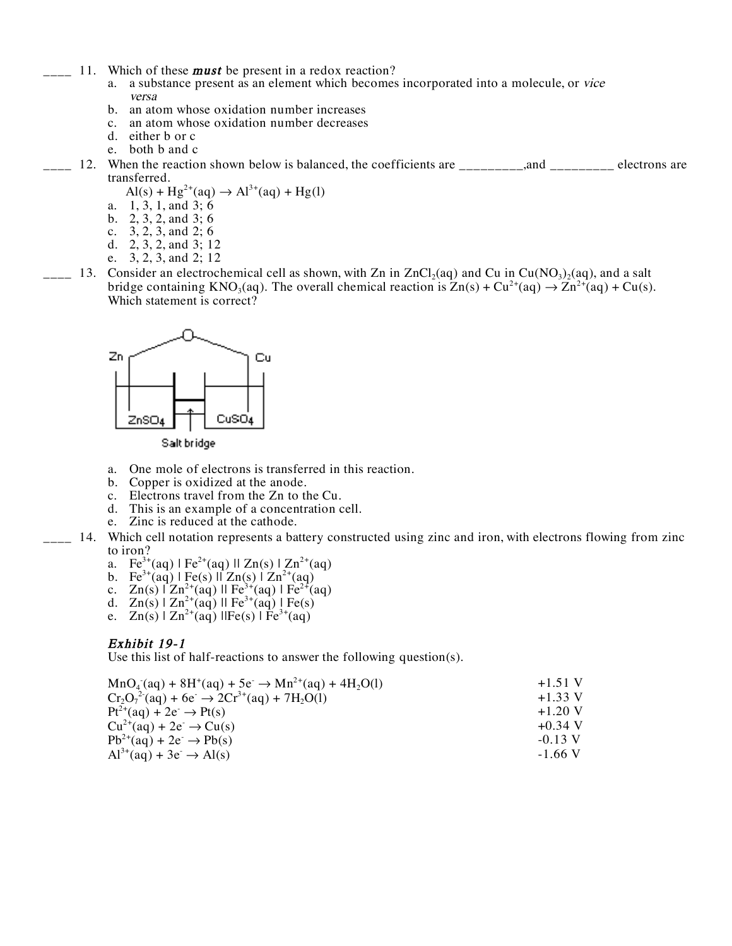- 11. Which of these **must** be present in a redox reaction?
	- a. a substance present as an element which becomes incorporated into a molecule, or vice versa
	- b. an atom whose oxidation number increases
	- c. an atom whose oxidation number decreases
	- d. either b or c
	- e. both b and c
- 12. When the reaction shown below is balanced, the coefficients are \_\_\_\_\_\_\_,and \_\_\_\_\_\_\_\_ electrons are transferred.
	- $\text{Al}(s) + \text{Hg}^{2+}(\text{aq}) \rightarrow \text{Al}^{3+}(\text{aq}) + \text{Hg}(1)$
	- a. 1, 3, 1, and 3; 6
	- b. 2, 3, 2, and 3; 6
	- c. 3, 2, 3, and 2; 6
	- d. 2, 3, 2, and 3; 12 e. 3, 2, 3, and 2; 12
- $-13.$  Consider an electrochemical cell as shown, with Zn in ZnCl<sub>2</sub>(aq) and Cu in Cu(NO<sub>3</sub>)<sub>2</sub>(aq), and a salt bridge containing KNO<sub>3</sub>(aq). The overall chemical reaction is  $Zn(s) + Cu^{2+}(aq) \rightarrow Zn^{2+}(aq) + Cu(s)$ . Which statement is correct?



Salt bridge

- a. One mole of electrons is transferred in this reaction.
- b. Copper is oxidized at the anode.
- c. Electrons travel from the Zn to the Cu.
- d. This is an example of a concentration cell.
- e. Zinc is reduced at the cathode.
- \_\_\_\_ 14. Which cell notation represents a battery constructed using zinc and iron, with electrons flowing from zinc to iron?
	- a.  $\text{Fe}^{3+}(\text{aq}) \mid \text{Fe}^{2+}(\text{aq}) \mid \text{Zn(s)} \mid \text{Zn}^{2+}(\text{aq})$
	- b. Fe<sup>3+</sup>(aq) | Fe(s)  $\|\mathbf{Zn}(s)\|\mathbf{Zn}^{2+}(\mathbf{aq})\|$
	- c.  $Zn(s)$   $\Gamma Zn^{2+}(aq)$   $\Gamma \text{Fe}^{3+}(aq)$   $\Gamma \text{Fe}^{2+}(aq)$
	- d.  $Zn(s) | Zn^{2+}(aq) || Fe^{3+}(aq) | Fe(s)$
	- e.  $Zn(s) | Zn^{2+}(aq) || Fe(s) | Fe^{3+}(aq)$

### Exhibit 19-1

Use this list of half-reactions to answer the following question(s).

| $MnO_4$ (aq) + 8H <sup>+</sup> (aq) + 5e <sup>-</sup> $\rightarrow$ Mn <sup>2+</sup> (aq) + 4H <sub>2</sub> O(l) | $+1.51$ V |
|------------------------------------------------------------------------------------------------------------------|-----------|
| $Cr_2O_7^2$ (aq) + 6e $\rightarrow$ 2Cr <sup>3+</sup> (aq) + 7H <sub>2</sub> O(1)                                | $+1.33$ V |
| $Pt^{2+}(aq) + 2e^{\cdot} \rightarrow Pt(s)$                                                                     | $+1.20$ V |
| $Cu^{2+}(aq) + 2e^- \rightarrow Cu(s)$                                                                           | $+0.34$ V |
| $Pb^{2+}(aq) + 2e^- \rightarrow Pb(s)$                                                                           | $-0.13$ V |
| $Al^{3+}(aq) + 3e^- \rightarrow Al(s)$                                                                           | $-1.66$ V |
|                                                                                                                  |           |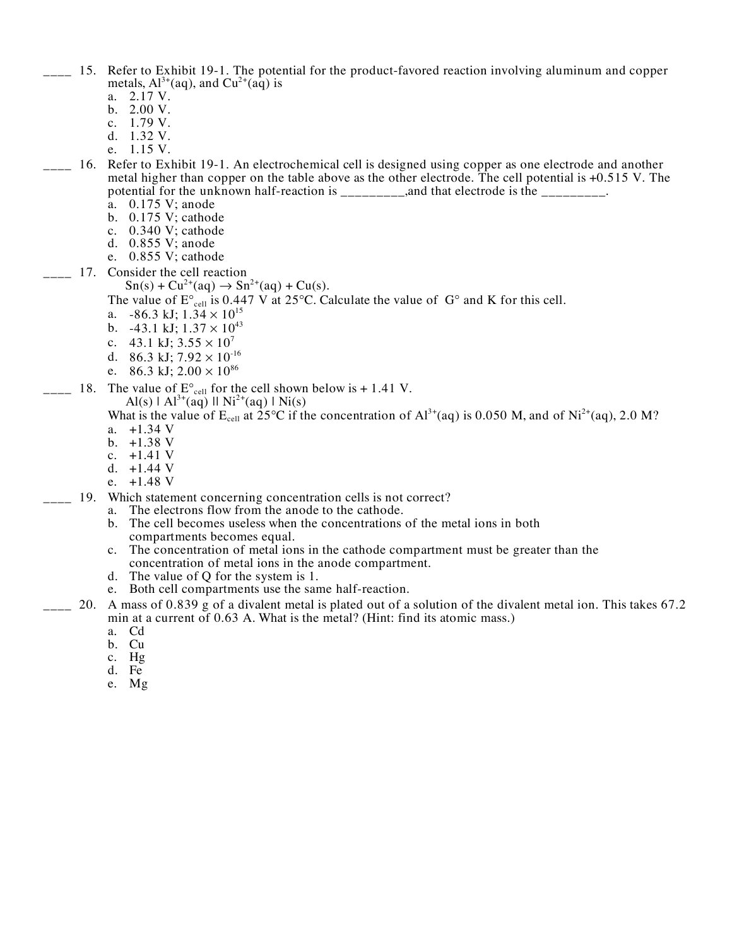- \_\_\_\_ 15. Refer to Exhibit 19-1. The potential for the product-favored reaction involving aluminum and copper metals,  $Al^{3+}(aq)$ , and  $Cu^{2+}(aq)$  is
	- a. 2.17 V. b. 2.00 V.
	-
	- c. 1.79 V.
	- d. 1.32 V.
	- e. 1.15 V.
- \_\_\_\_ 16. Refer to Exhibit 19-1. An electrochemical cell is designed using copper as one electrode and another metal higher than copper on the table above as the other electrode. The cell potential is +0.515 V. The potential for the unknown half-reaction is  $\frac{1}{1}$  and that electrode is the  $\frac{1}{1}$ 
	- a. 0.175 V; anode
	- b. 0.175 V; cathode
	- c. 0.340 V; cathode d. 0.855 V; anode
	- e. 0.855 V; cathode
	-
- \_\_\_\_ 17. Consider the cell reaction
	- $Sn(s) + Cu^{2+}(aq) \rightarrow Sn^{2+}(aq) + Cu(s).$

The value of E  $_{cell}$  is 0.447 V at 25 C. Calculate the value of G and K for this cell.

- a.  $-86.3$  kJ;  $1.34 \times 10^{15}$
- b.  $-43.1$  kJ;  $1.37 \times 10^{43}$
- c. 43.1 kJ;  $3.55 \times 10^7$
- d. 86.3 kJ;  $7.92 \times 10^{-16}$
- e. 86.3 kJ;  $2.00 \times 10^{86}$
- $\sim$  18. The value of E  $_{\text{cell}}$  for the cell shown below is + 1.41 V.
	- Al(s) | Al<sup>3+</sup>(aq) || Ni<sup>2+</sup>(aq) | Ni(s)
	- What is the value of  $E_{cell}$  at 25 C if the concentration of  $Al^{3+}(aq)$  is 0.050 M, and of Ni<sup>2+</sup>(aq), 2.0 M?
	- a. +1.34 V
	- b. +1.38 V
	- c.  $+1.41$  V
	- d. +1.44 V
	- e.  $+1.48$  V
- \_\_\_\_ 19. Which statement concerning concentration cells is not correct?
	- a. The electrons flow from the anode to the cathode.
	- b. The cell becomes useless when the concentrations of the metal ions in both compartments becomes equal.
	- c. The concentration of metal ions in the cathode compartment must be greater than the concentration of metal ions in the anode compartment.
	- d. The value of Q for the system is 1.
	- e. Both cell compartments use the same half-reaction.
- $\sim$  20. A mass of 0.839 g of a divalent metal is plated out of a solution of the divalent metal ion. This takes 67.2 min at a current of 0.63 A. What is the metal? (Hint: find its atomic mass.)
	- a. Cd
	- b. Cu
	- c. Hg
	- d. Fe
	- e. Mg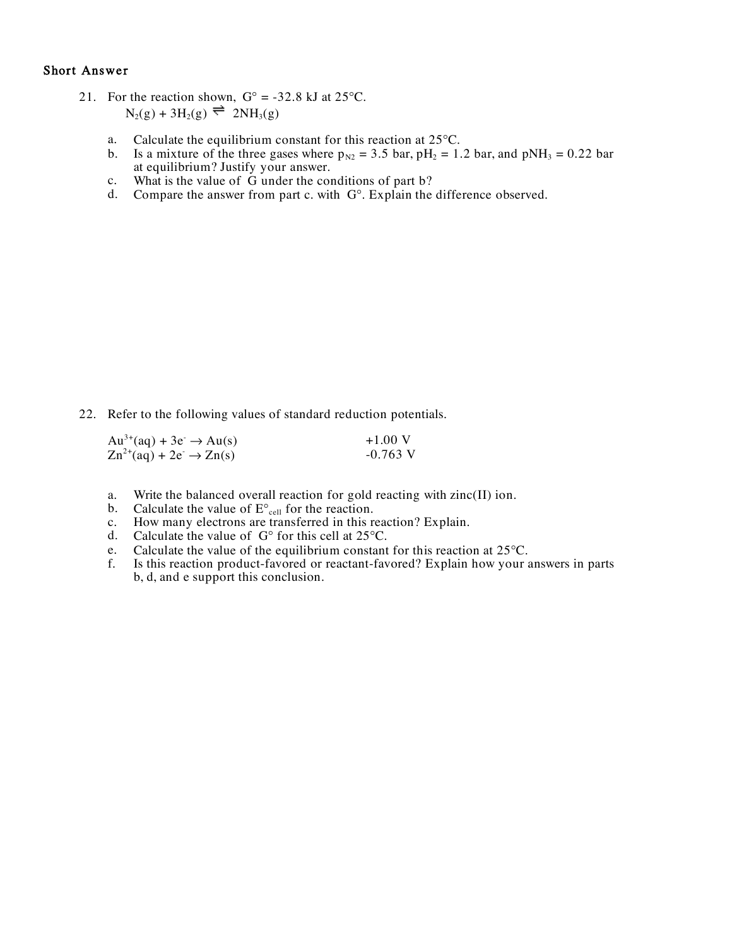### Short Answer

- 21. For the reaction shown,  $G = -32.8$  kJ at 25 C.  $N_2(g) + 3H_2(g) \rightleftharpoons 2NH_3(g)$ 
	- a. Calculate the equilibrium constant for this reaction at 25 C.
	- b. Is a mixture of the three gases where  $p_{N2} = 3.5$  bar,  $pH_2 = 1.2$  bar, and  $pNH_3 = 0.22$  bar at equilibrium? Justify your answer.
	- c. What is the value of G under the conditions of part b?
	- d. Compare the answer from part c. with G . Explain the difference observed.

22. Refer to the following values of standard reduction potentials.

| $Au^{3+}(aq) + 3e^- \rightarrow Au(s)$                                    | $+1.00$ V  |
|---------------------------------------------------------------------------|------------|
| $\text{Zn}^{2+}(\text{aq}) + 2\text{e}^- \rightarrow \text{Zn}(\text{s})$ | $-0.763$ V |

- a. Write the balanced overall reaction for gold reacting with zinc(II) ion.<br>b. Calculate the value of E  $_{cell}$  for the reaction.<br>c. How many electrons are transferred in this reaction? Explain.<br>d. Calculate the value of G
- 
- How many electrons are transferred in this reaction? Explain.
- d. Calculate the value of G for this cell at 25 C.<br>e. Calculate the value of the equilibrium constant
- e. Calculate the value of the equilibrium constant for this reaction at 25 C.<br>f. Is this reaction product-favored or reactant-favored? Explain how your a
- Is this reaction product-favored or reactant-favored? Explain how your answers in parts b, d, and e support this conclusion.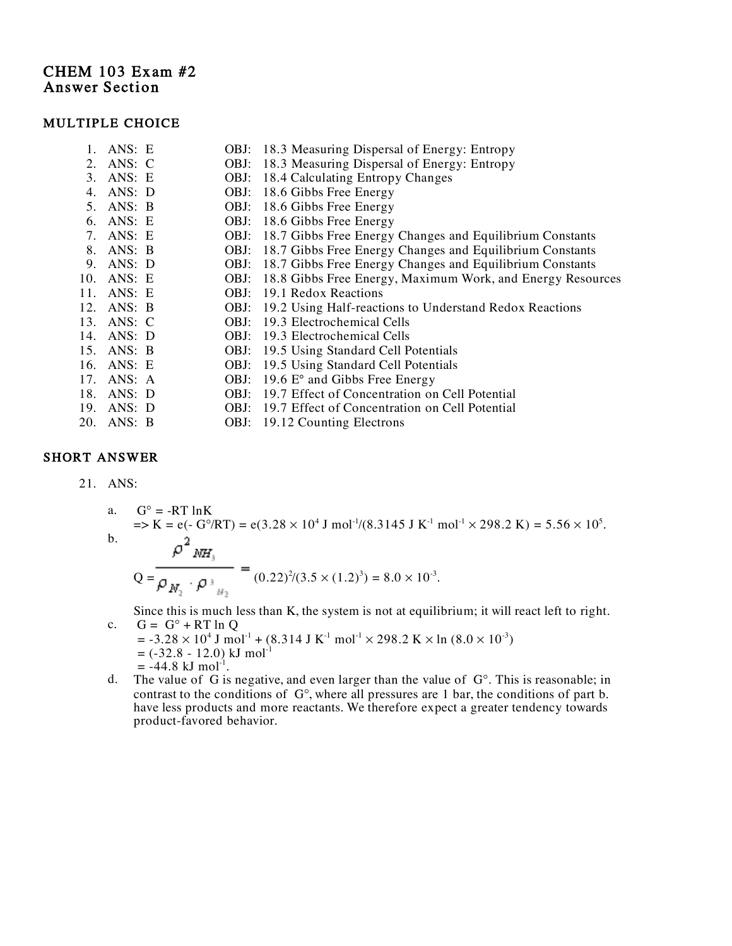# CHEM 103 Exam #2 Answer Section

### MULTIPLE CHOICE

| 1. ANS: E  |      | OBJ: 18.3 Measuring Dispersal of Energy: Entropy                |
|------------|------|-----------------------------------------------------------------|
| 2. ANS: C  | OBJ: | 18.3 Measuring Dispersal of Energy: Entropy                     |
| 3. ANS: E  |      | OBJ: 18.4 Calculating Entropy Changes                           |
| 4. ANS: D  |      | OBJ: 18.6 Gibbs Free Energy                                     |
| 5. ANS: B  |      | OBJ: 18.6 Gibbs Free Energy                                     |
| 6. ANS: E  |      | OBJ: 18.6 Gibbs Free Energy                                     |
| 7. ANS: E  |      | OBJ: 18.7 Gibbs Free Energy Changes and Equilibrium Constants   |
| 8. ANS: B  |      | OBJ: 18.7 Gibbs Free Energy Changes and Equilibrium Constants   |
| 9. ANS: D  |      | OBJ: 18.7 Gibbs Free Energy Changes and Equilibrium Constants   |
| 10. ANS: E |      | OBJ: 18.8 Gibbs Free Energy, Maximum Work, and Energy Resources |
| 11. ANS: E | OBJ: | 19.1 Redox Reactions                                            |
| 12. ANS: B |      | OBJ: 19.2 Using Half-reactions to Understand Redox Reactions    |
| 13. ANS: C | OBJ: | 19.3 Electrochemical Cells                                      |
| 14. ANS: D | OBJ: | 19.3 Electrochemical Cells                                      |
| 15. ANS: B | OBJ: | 19.5 Using Standard Cell Potentials                             |
| 16. ANS: E | OBJ: | 19.5 Using Standard Cell Potentials                             |
| 17. ANS: A |      | OBJ: 19.6 E° and Gibbs Free Energy                              |
| 18. ANS: D | OBJ: | 19.7 Effect of Concentration on Cell Potential                  |
| 19. ANS: D | OBJ: | 19.7 Effect of Concentration on Cell Potential                  |
| 20. ANS: B |      | OBJ: 19.12 Counting Electrons                                   |

## SHORT ANSWER

21. ANS:

a.  $G = -RT \ln K$  $\Rightarrow$  K = e(- G /RT) = e(3.28 × 10<sup>4</sup> J mol<sup>-1</sup>/(8.3145 J K<sup>-1</sup> mol<sup>-1</sup> × 298.2 K) = 5.56 × 10<sup>5</sup>. b.  $\rho^2{}_{\mathit{NH}_3}$  $\label{eq:Q} \mathsf{Q} = \overline{\rho_{\textit{N}_2} \cdot \rho_{\textit{M}_2}}$  $^{2}/(3.5 \times (1.2)^{3}) = 8.0 \times 10^{-3}.$ 

Since this is much less than K, the system is not at equilibrium; it will react left to right. c.  $G = G + RT \ln Q$ 

- $=$  -3.28  $\times$  10<sup>4</sup> J mol<sup>-1</sup> + (8.314 J K<sup>-1</sup> mol<sup>-1</sup>  $\times$  298.2 K  $\times$  ln (8.0  $\times$  10<sup>-3</sup>)  $= (-32.8 - 12.0) \text{ kJ mol}^{-1}$  $= -44.8$  kJ mol<sup>-1</sup>.
- d. The value of G is negative, and even larger than the value of G . This is reasonable; in contrast to the conditions of G , where all pressures are 1 bar, the conditions of part b. have less products and more reactants. We therefore expect a greater tendency towards product-favored behavior.